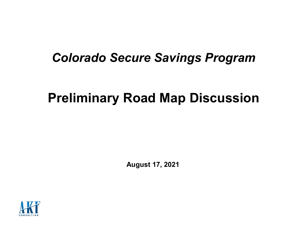## Colorado Secure Savings Program

# Preliminary Road Map Discussion

August 17, 2021

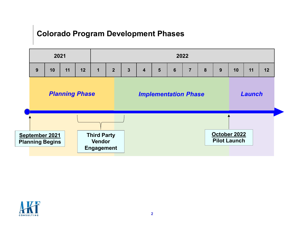### Colorado Program Development Phases



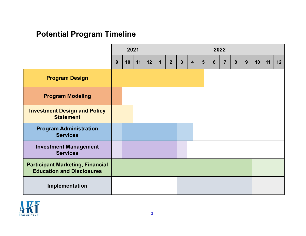## Potential Program Timeline

| <b>Potential Program Timeline</b>                                           |   |      |    |    |    |             |                |   |                         |  |                |                |                |   |   |    |    |    |
|-----------------------------------------------------------------------------|---|------|----|----|----|-------------|----------------|---|-------------------------|--|----------------|----------------|----------------|---|---|----|----|----|
|                                                                             |   | 2021 |    |    |    | 2022        |                |   |                         |  |                |                |                |   |   |    |    |    |
|                                                                             | 9 |      | 10 | 11 | 12 | $\mathbf 1$ | 2 <sup>1</sup> | 3 | $\overline{\mathbf{4}}$ |  | $5\phantom{1}$ | $6\phantom{1}$ | $\overline{7}$ | 8 | 9 | 10 | 11 | 12 |
| <b>Program Design</b>                                                       |   |      |    |    |    |             |                |   |                         |  |                |                |                |   |   |    |    |    |
| <b>Program Modeling</b>                                                     |   |      |    |    |    |             |                |   |                         |  |                |                |                |   |   |    |    |    |
| <b>Investment Design and Policy</b><br><b>Statement</b>                     |   |      |    |    |    |             |                |   |                         |  |                |                |                |   |   |    |    |    |
| <b>Program Administration</b><br><b>Services</b>                            |   |      |    |    |    |             |                |   |                         |  |                |                |                |   |   |    |    |    |
| <b>Investment Management</b><br><b>Services</b>                             |   |      |    |    |    |             |                |   |                         |  |                |                |                |   |   |    |    |    |
| <b>Participant Marketing, Financial</b><br><b>Education and Disclosures</b> |   |      |    |    |    |             |                |   |                         |  |                |                |                |   |   |    |    |    |
| Implementation                                                              |   |      |    |    |    |             |                |   |                         |  |                |                |                |   |   |    |    |    |

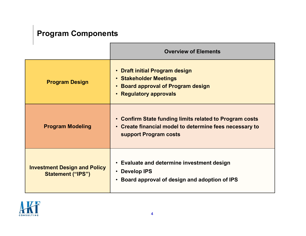## Program Components

|                                                                 | <b>Overview of Elements</b>                                                                                                                 |  |
|-----------------------------------------------------------------|---------------------------------------------------------------------------------------------------------------------------------------------|--|
| <b>Program Design</b>                                           | • Draft initial Program design<br>• Stakeholder Meetings<br>• Board approval of Program design<br>• Regulatory approvals                    |  |
| <b>Program Modeling</b>                                         | • Confirm State funding limits related to Program costs<br>• Create financial model to determine fees necessary to<br>support Program costs |  |
| <b>Investment Design and Policy</b><br><b>Statement ("IPS")</b> | • Evaluate and determine investment design<br>• Develop IPS<br>• Board approval of design and adoption of IPS                               |  |

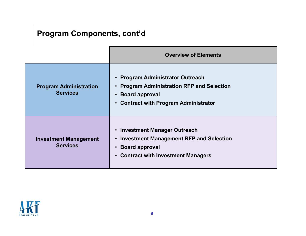## Program Components, cont'd

|                                                  | <b>Overview of Elements</b>                                                                                                                                                                                   |
|--------------------------------------------------|---------------------------------------------------------------------------------------------------------------------------------------------------------------------------------------------------------------|
| <b>Program Administration</b><br><b>Services</b> | • Program Administrator Outreach<br><b>Program Administration RFP and Selection</b><br>$\bullet$<br><b>Board approval</b><br>$\bullet$<br><b>Contract with Program Administrator</b><br>$\bullet$             |
| <b>Investment Management</b><br><b>Services</b>  | <b>Investment Manager Outreach</b><br>$\bullet$<br><b>Investment Management RFP and Selection</b><br>$\bullet$<br><b>Board approval</b><br>$\bullet$<br><b>Contract with Investment Managers</b><br>$\bullet$ |

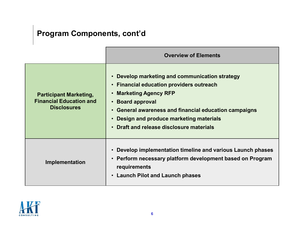## Program Components, cont'd

|                                                                                       | <b>Overview of Elements</b>                                                                                                                                                                                                                                                                                   |
|---------------------------------------------------------------------------------------|---------------------------------------------------------------------------------------------------------------------------------------------------------------------------------------------------------------------------------------------------------------------------------------------------------------|
| <b>Participant Marketing,</b><br><b>Financial Education and</b><br><b>Disclosures</b> | Develop marketing and communication strategy<br><b>Financial education providers outreach</b><br>$\bullet$<br><b>Marketing Agency RFP</b><br><b>Board approval</b><br>General awareness and financial education campaigns<br>Design and produce marketing materials<br>Draft and release disclosure materials |
| Implementation                                                                        | Develop implementation timeline and various Launch phases<br>Perform necessary platform development based on Program<br>requirements<br>• Launch Pilot and Launch phases                                                                                                                                      |

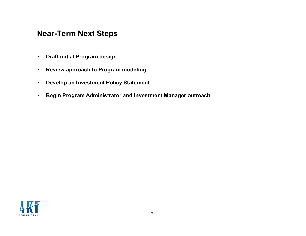### Near-Term Next Steps

- Draft initial Program design
- Review approach to Program modeling
- Develop an Investment Policy Statement
- Begin Program Administrator and Investment Manager outreach